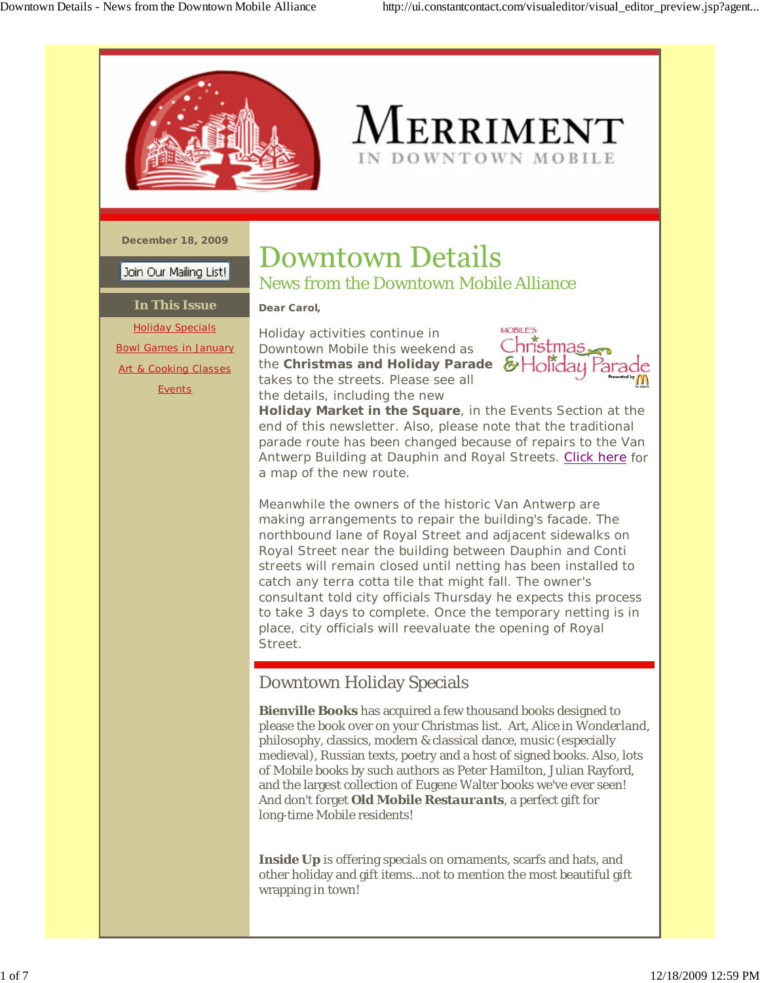

# Merriment IN DOWNTOWN MOBILE

**December 18, 2009**

Join Our Mailing List!

### **In This Issue** Holiday Specials Bowl Games in January Art & Cooking Classes **Events**

# **Downtown Details** News from the Downtown Mobile Alliance

**Dear Carol,**

Holiday activities continue in Downtown Mobile this weekend as the **Christmas and Holiday Parade** takes to the streets. Please see all the details, including the new



**Holiday Market in the Square**, in the Events Section at the end of this newsletter. Also, please note that the traditional parade route has been changed because of repairs to the Van Antwerp Building at Dauphin and Royal Streets. Click here for a map of the new route.

Meanwhile the owners of the historic Van Antwerp are making arrangements to repair the building's facade. The northbound lane of Royal Street and adjacent sidewalks on Royal Street near the building between Dauphin and Conti streets will remain closed until netting has been installed to catch any terra cotta tile that might fall. The owner's consultant told city officials Thursday he expects this process to take 3 days to complete. Once the temporary netting is in place, city officials will reevaluate the opening of Royal Street.

# Downtown Holiday Specials

**Bienville Books** has acquired a few thousand books designed to please the book over on your Christmas list. Art, *Alice in Wonderland*, philosophy, classics, modern & classical dance, music (especially medieval), Russian texts, poetry and a host of signed books. Also, lots of Mobile books by such authors as Peter Hamilton, Julian Rayford, and the largest collection of Eugene Walter books we've ever seen! And don't forget *Old Mobile Restaurants*, a perfect gift for long-time Mobile residents!

**Inside Up** is offering specials on ornaments, scarfs and hats, and other holiday and gift items...not to mention the most beautiful gift wrapping in town!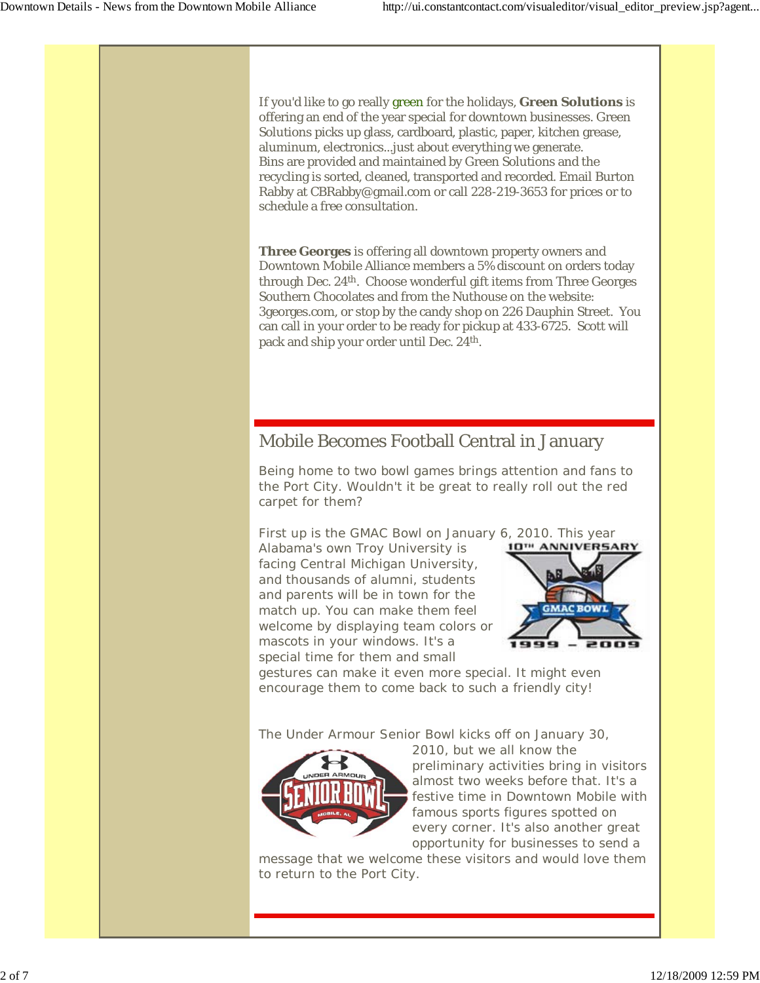If you'd like to go really green for the holidays, **Green Solutions** is offering an end of the year special for downtown businesses. Green Solutions picks up glass, cardboard, plastic, paper, kitchen grease, aluminum, electronics...just about everything we generate. Bins are provided and maintained by Green Solutions and the recycling is sorted, cleaned, transported and recorded. Email Burton Rabby at CBRabby@gmail.com or call 228-219-3653 for prices or to schedule a free consultation.

**Three Georges** is offering all downtown property owners and Downtown Mobile Alliance members a 5% discount on orders today through Dec. 24th. Choose wonderful gift items from Three Georges Southern Chocolates and from the Nuthouse on the website: 3georges.com, or stop by the candy shop on 226 Dauphin Street. You can call in your order to be ready for pickup at 433-6725. Scott will pack and ship your order until Dec. 24th.

## Mobile Becomes Football Central in January

Being home to two bowl games brings attention and fans to the Port City. Wouldn't it be great to really roll out the red carpet for them?

First up is the GMAC Bowl on January 6, 2010. This year

Alabama's own Troy University is facing Central Michigan University, and thousands of alumni, students and parents will be in town for the match up. You can make them feel welcome by displaying team colors or mascots in your windows. It's a special time for them and small



gestures can make it even more special. It might even encourage them to come back to such a friendly city!

The Under Armour Senior Bowl kicks off on January 30,



2010, but we all know the preliminary activities bring in visitors almost two weeks before that. It's a festive time in Downtown Mobile with famous sports figures spotted on every corner. It's also another great opportunity for businesses to send a

message that we welcome these visitors and would love them to return to the Port City.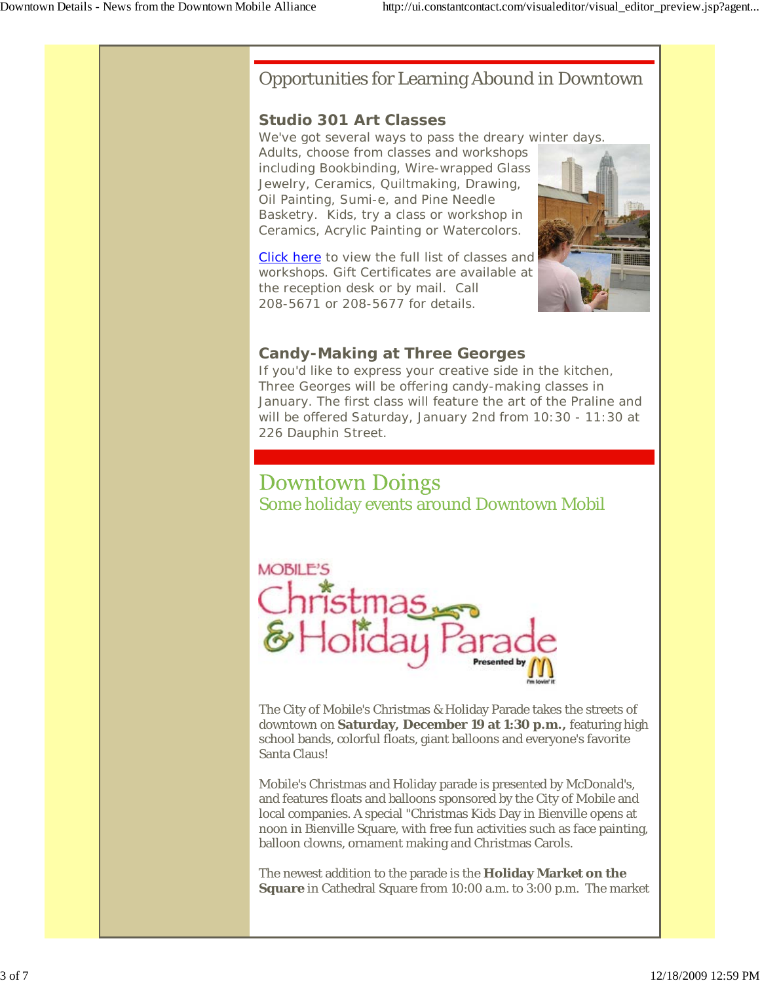### Opportunities for Learning Abound in Downtown

#### **Studio 301 Art Classes**

We've got several ways to pass the dreary winter days. Adults, choose from classes and workshops including Bookbinding, Wire-wrapped Glass Jewelry, Ceramics, Quiltmaking, Drawing, Oil Painting, Sumi-e, and Pine Needle Basketry. Kids, try a class or workshop in Ceramics, Acrylic Painting or Watercolors.

Click here to view the full list of classes and workshops. Gift Certificates are available at the reception desk or by mail. Call 208-5671 or 208-5677 for details.



### **Candy-Making at Three Georges**

If you'd like to express your creative side in the kitchen, Three Georges will be offering candy-making classes in January. The first class will feature the art of the Praline and will be offered Saturday, January 2nd from 10:30 - 11:30 at 226 Dauphin Street.

# **Downtown Doings**

Some holiday events around Downtown Mobil



The City of Mobile's Christmas & Holiday Parade takes the streets of downtown on **Saturday, December 19 at 1:30 p.m.,** featuring high school bands, colorful floats, giant balloons and everyone's favorite Santa Claus!

Mobile's Christmas and Holiday parade is presented by McDonald's, and features floats and balloons sponsored by the City of Mobile and local companies. A special "Christmas Kids Day in Bienville opens at noon in Bienville Square, with free fun activities such as face painting, balloon clowns, ornament making and Christmas Carols.

The newest addition to the parade is the **Holiday Market on the Square** in Cathedral Square from 10:00 a.m. to 3:00 p.m. The market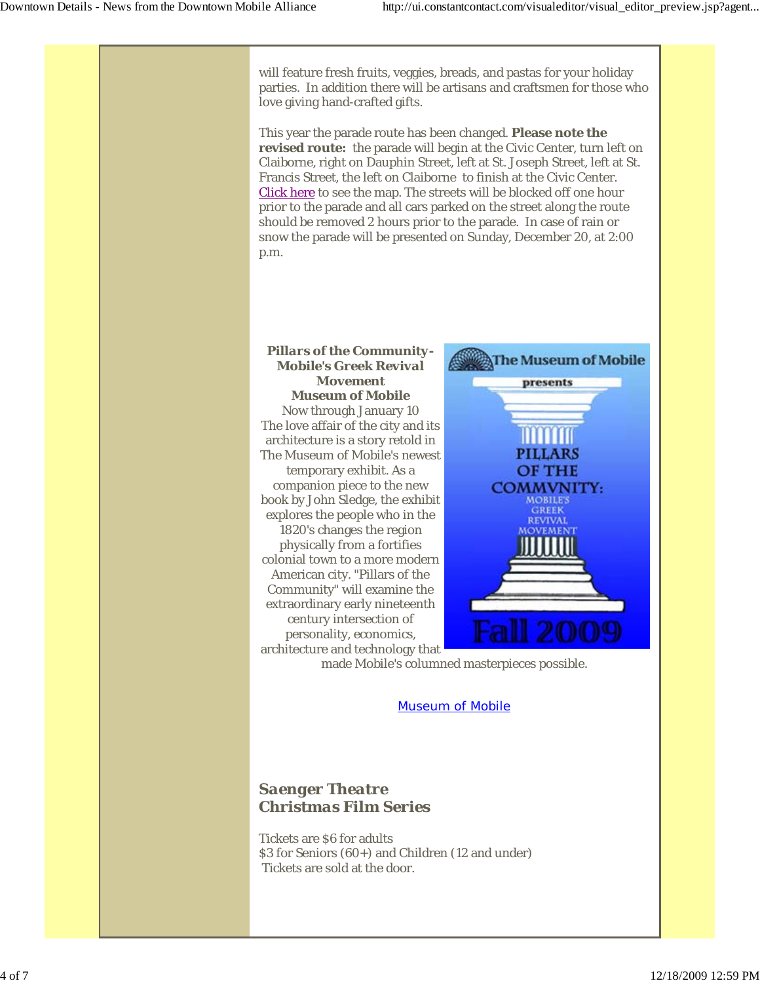will feature fresh fruits, veggies, breads, and pastas for your holiday parties. In addition there will be artisans and craftsmen for those who love giving hand-crafted gifts. This year the parade route has been changed. **Please note the revised route:** the parade will begin at the Civic Center, turn left on Claiborne, right on Dauphin Street, left at St. Joseph Street, left at St. Francis Street, the left on Claiborne to finish at the Civic Center. Click here to see the map. The streets will be blocked off one hour prior to the parade and all cars parked on the street along the route should be removed 2 hours prior to the parade. In case of rain or snow the parade will be presented on Sunday, December 20, at 2:00 p.m. *Pillars of the Community-***AThe Museum of Mobile** *Mobile's Greek Revival Movement* presents **Museum of Mobile** Now through January 10 The love affair of the city and its architecture is a story retold in **PILLARS** The Museum of Mobile's newest temporary exhibit. As a OF THE companion piece to the new COMMVNITY: book by John Sledge, the exhibit **MOBILE'S GREEK** explores the people who in the 1820's changes the region physically from a fortifies colonial town to a more modern American city. "Pillars of the Community" will examine the extraordinary early nineteenth century intersection of personality, economics, architecture and technology that made Mobile's columned masterpieces possible.

Museum of Mobile

### *Saenger Theatre Christmas Film Series*

Tickets are \$6 for adults \$3 for Seniors (60+) and Children (12 and under) Tickets are sold at the door.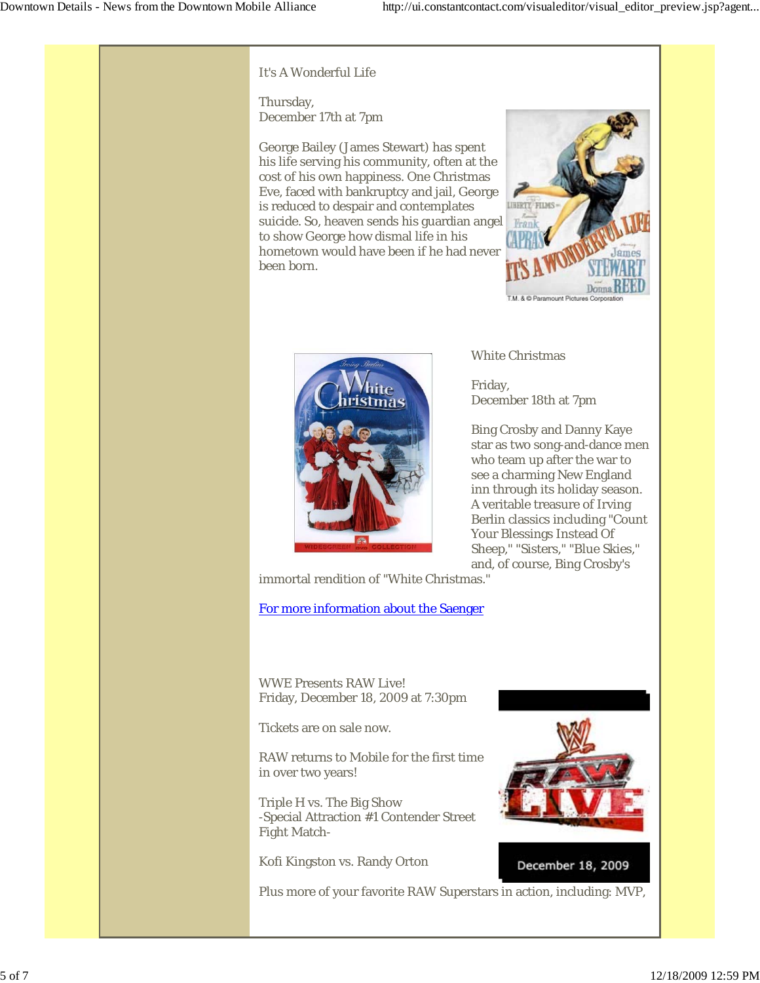It's A Wonderful Life

Thursday, December 17th at 7pm

George Bailey (James Stewart) has spent his life serving his community, often at the cost of his own happiness. One Christmas Eve, faced with bankruptcy and jail, George is reduced to despair and contemplates suicide. So, heaven sends his guardian angel to show George how dismal life in his hometown would have been if he had never been born.



White Christmas

Friday, December 18th at 7pm

Bing Crosby and Danny Kaye star as two song-and-dance men who team up after the war to see a charming New England inn through its holiday season. A veritable treasure of Irving Berlin classics including "Count Your Blessings Instead Of Sheep," "Sisters," "Blue Skies," and, of course, Bing Crosby's

immortal rendition of "White Christmas."

For more information about the Saenger

WWE Presents RAW Live! Friday, December 18, 2009 at 7:30pm

Tickets are on sale now.

RAW returns to Mobile for the first time in over two years!

Triple H vs. The Big Show -Special Attraction #1 Contender Street Fight Match-

Kofi Kingston vs. Randy Orton

Plus more of your favorite RAW Superstars in action, including: MVP,



December 18, 2009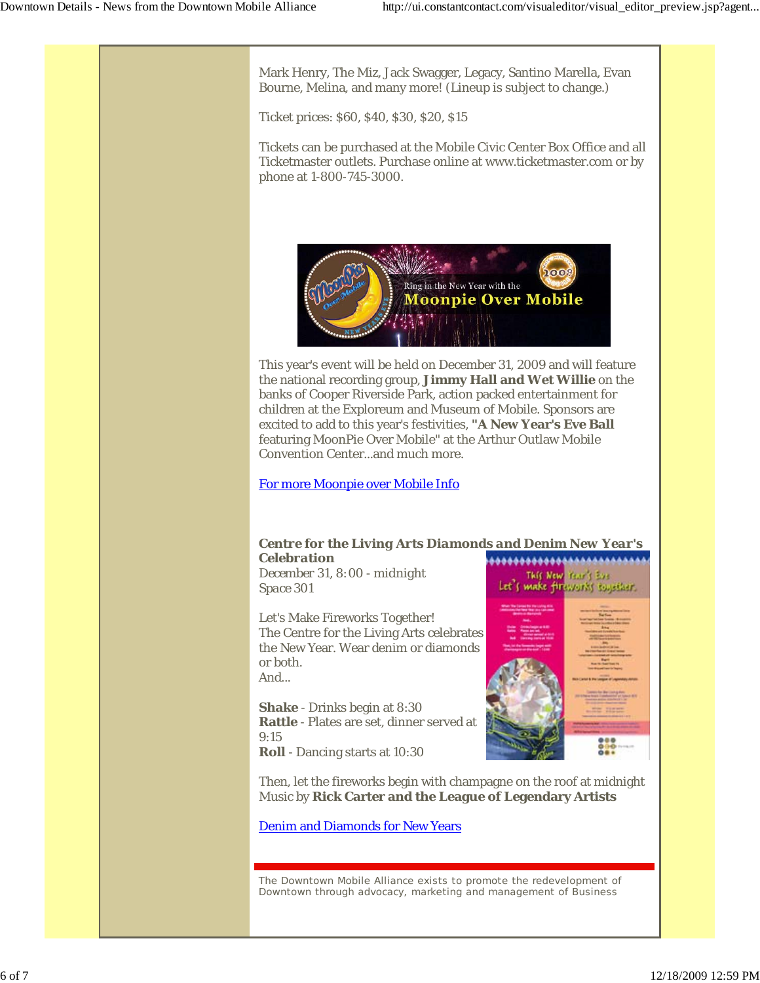This New Year's Eve Let's make fireworks together.

Mark Henry, The Miz, Jack Swagger, Legacy, Santino Marella, Evan Bourne, Melina, and many more! (Lineup is subject to change.)

Ticket prices: \$60, \$40, \$30, \$20, \$15

Tickets can be purchased at the Mobile Civic Center Box Office and all Ticketmaster outlets. Purchase online at www.ticketmaster.com or by phone at 1-800-745-3000.



This year's event will be held on December 31, 2009 and will feature the national recording group, **Jimmy Hall and Wet Willie** on the banks of Cooper Riverside Park, action packed entertainment for children at the Exploreum and Museum of Mobile. Sponsors are excited to add to this year's festivities, **"A New Year's Eve Ball** featuring MoonPie Over Mobile" at the Arthur Outlaw Mobile Convention Center...and much more.

For more Moonpie over Mobile Info

#### *Centre for the Living Arts Diamonds and Denim New Year's Celebration* \*\*\*\*\*\*\*\*\*\*\*\*\*\*\*\*\*\*\*\*\*

*December 31, 8:00 - midnight Space 301*

Let's Make Fireworks Together! The Centre for the Living Arts celebrates the New Year. Wear denim or diamonds or both. And...

**Shake** - Drinks begin at 8:30 **Rattle** - Plates are set, dinner served at 9:15 **Roll** - Dancing starts at 10:30

Then, let the fireworks begin with champagne on the roof at midnight Music by **Rick Carter and the League of Legendary Artists**

Denim and Diamonds for New Years

The Downtown Mobile Alliance exists to promote the redevelopment of Downtown through advocacy, marketing and management of Business